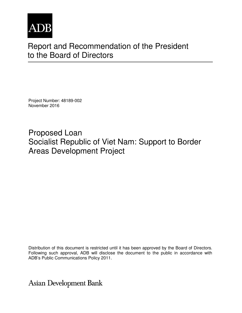

# Report and Recommendation of the President to the Board of Directors

Project Number: 48189-002 November 2016

Proposed Loan Socialist Republic of Viet Nam: Support to Border Areas Development Project

Distribution of this document is restricted until it has been approved by the Board of Directors. Following such approval, ADB will disclose the document to the public in accordance with ADB's Public Communications Policy 2011.

**Asian Development Bank**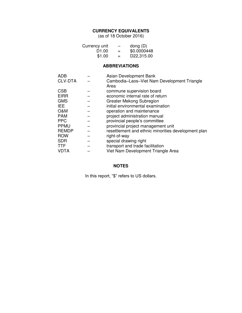# **CURRENCY EQUIVALENTS**

(as of 18 October 2016)

| Currency unit     | $\qquad \qquad \blacksquare$ | dong $(D)$  |
|-------------------|------------------------------|-------------|
| D <sub>1.00</sub> | $=$                          | \$0.0000448 |
| \$1.00            | $=$                          | D22,315.00  |

# **ABBREVIATIONS**

| <b>ADB</b>     | Asian Development Bank                              |
|----------------|-----------------------------------------------------|
| <b>CLV-DTA</b> | Cambodia-Laos-Viet Nam Development Triangle         |
|                | Area                                                |
| <b>CSB</b>     | commune supervision board                           |
| <b>EIRR</b>    | economic internal rate of return                    |
| <b>GMS</b>     | Greater Mekong Subregion                            |
| IEE.           | initial environmental examination                   |
| O&M            | operation and maintenance                           |
| <b>PAM</b>     | project administration manual                       |
| <b>PPC</b>     | provincial people's committee                       |
| <b>PPMU</b>    | provincial project management unit                  |
| <b>REMDP</b>   | resettlement and ethnic minorities development plan |
| <b>ROW</b>     | right-of-way                                        |
| <b>SDR</b>     | special drawing right                               |
| <b>TTF</b>     | transport and trade facilitation                    |
| <b>VDTA</b>    | Viet Nam Development Triangle Area                  |
|                |                                                     |

# **NOTES**

In this report, "\$" refers to US dollars.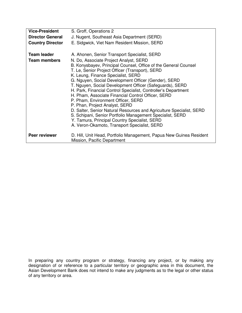| <b>Vice-President</b>                     | S. Groff, Operations 2                                                                                                                                                                                                                                               |
|-------------------------------------------|----------------------------------------------------------------------------------------------------------------------------------------------------------------------------------------------------------------------------------------------------------------------|
| <b>Director General</b>                   | J. Nugent, Southeast Asia Department (SERD)                                                                                                                                                                                                                          |
| <b>Country Director</b>                   | E. Sidgwick, Viet Nam Resident Mission, SERD                                                                                                                                                                                                                         |
| <b>Team leader</b><br><b>Team members</b> | A. Ahonen, Senior Transport Specialist, SERD<br>N. Do, Associate Project Analyst, SERD                                                                                                                                                                               |
|                                           | B. Konysbayev, Principal Counsel, Office of the General Counsel<br>T. Le, Senior Project Officer (Transport), SERD<br>K. Leung, Finance Specialist, SERD                                                                                                             |
|                                           | G. Nguyen, Social Development Officer (Gender), SERD<br>T. Nguyen, Social Development Officer (Safeguards), SERD                                                                                                                                                     |
|                                           | H. Park, Financial Control Specialist, Controller's Department<br>H. Pham, Associate Financial Control Officer, SERD                                                                                                                                                 |
|                                           | P. Pham, Environment Officer, SERD                                                                                                                                                                                                                                   |
|                                           | P. Phan, Project Analyst, SERD<br>D. Salter, Senior Natural Resources and Agriculture Specialist, SERD<br>S. Schipani, Senior Portfolio Management Specialist, SERD<br>Y. Tamura, Principal Country Specialist, SERD<br>A. Veron-Okamoto, Transport Specialist, SERD |
| Peer reviewer                             | D. Hill, Unit Head, Portfolio Management, Papua New Guinea Resident<br>Mission, Pacific Department                                                                                                                                                                   |

In preparing any country program or strategy, financing any project, or by making any designation of or reference to a particular territory or geographic area in this document, the Asian Development Bank does not intend to make any judgments as to the legal or other status of any territory or area.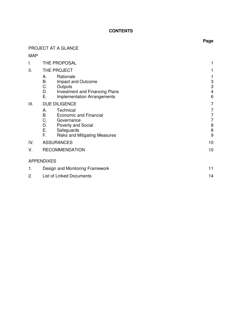# **CONTENTS**

# PROJECT AT A GLANCE

# MAP

| I.   | THE PROPOSAL<br>1                                                                                                                                                 |                                               |  |
|------|-------------------------------------------------------------------------------------------------------------------------------------------------------------------|-----------------------------------------------|--|
| ΙΙ.  | THE PROJECT                                                                                                                                                       | 1                                             |  |
|      | Rationale<br>А.<br>В.<br>Impact and Outcome<br>C.<br>Outputs<br>D.<br><b>Investment and Financing Plans</b><br>Ε.<br><b>Implementation Arrangements</b>           | 1<br>3<br>$\ensuremath{\mathsf{3}}$<br>4<br>6 |  |
| III. | <b>DUE DILIGENCE</b>                                                                                                                                              | 7                                             |  |
|      | Technical<br>А.<br>В.<br>Economic and Financial<br>C.<br>Governance<br>D.<br>Poverty and Social<br>Е.<br>Safeguards<br>F.<br><b>Risks and Mitigating Measures</b> | 7<br>7<br>$\overline{7}$<br>8<br>$\, 8$<br>9  |  |
| IV.  | <b>ASSURANCES</b>                                                                                                                                                 | 10                                            |  |
| V.   | <b>RECOMMENDATION</b>                                                                                                                                             | 10                                            |  |
|      | <b>APPENDIXES</b>                                                                                                                                                 |                                               |  |
| 1.   | Design and Monitoring Framework                                                                                                                                   |                                               |  |
| 2.   | <b>List of Linked Documents</b><br>14                                                                                                                             |                                               |  |

# **Page**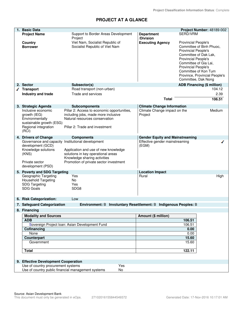# **PROJECT AT A GLANCE**

| 1. Basic Data                                                                                                       |                                                                                                                                                                                   |                                         | Project Number: 48189-002                                                                                                                                                                                                                            |
|---------------------------------------------------------------------------------------------------------------------|-----------------------------------------------------------------------------------------------------------------------------------------------------------------------------------|-----------------------------------------|------------------------------------------------------------------------------------------------------------------------------------------------------------------------------------------------------------------------------------------------------|
| <b>Project Name</b>                                                                                                 | Support to Border Areas Development                                                                                                                                               | <b>Department</b>                       | SERD/VRM                                                                                                                                                                                                                                             |
| Country                                                                                                             | Project<br>Viet Nam, Socialist Republic of                                                                                                                                        | /Division<br><b>Executing Agency</b>    | <b>Provincial People's</b>                                                                                                                                                                                                                           |
| <b>Borrower</b>                                                                                                     | Socialist Republic of Viet Nam                                                                                                                                                    |                                         | Committee of Binh Phuoc,<br><b>Provincial People's</b><br>Committee of Dak Lak,<br><b>Provincial People's</b><br>Committee of Gia Lai,<br><b>Provincial People's</b><br>Committee of Kon Tum<br>Province, Provincial People's<br>Committee, Dak Nong |
| 2. Sector                                                                                                           | Subsector(s)                                                                                                                                                                      |                                         | <b>ADB Financing (\$ million)</b>                                                                                                                                                                                                                    |
| √ Transport                                                                                                         | Road transport (non-urban)                                                                                                                                                        |                                         | 104.12                                                                                                                                                                                                                                               |
| Industry and trade                                                                                                  | Trade and services                                                                                                                                                                | <b>Total</b>                            | 2.39<br>106.51                                                                                                                                                                                                                                       |
| 3. Strategic Agenda                                                                                                 | <b>Subcomponents</b>                                                                                                                                                              | <b>Climate Change Information</b>       |                                                                                                                                                                                                                                                      |
| Inclusive economic<br>growth (IEG)<br>Environmentally<br>sustainable growth (ESG)<br>Regional integration<br>(RCI)  | Pillar 2: Access to economic opportunities,<br>including jobs, made more inclusive<br>Natural resources conservation<br>Pillar 2: Trade and investment                            | Climate Change impact on the<br>Project | Medium                                                                                                                                                                                                                                               |
| 4. Drivers of Change                                                                                                | <b>Components</b>                                                                                                                                                                 | <b>Gender Equity and Mainstreaming</b>  |                                                                                                                                                                                                                                                      |
| Governance and capacity<br>development (GCD)<br>Knowledge solutions<br>(KNS)<br>Private sector<br>development (PSD) | Institutional development<br>Application and use of new knowledge<br>solutions in key operational areas<br>Knowledge sharing activities<br>Promotion of private sector investment | Effective gender mainstreaming<br>(EGM) |                                                                                                                                                                                                                                                      |
| 5. Poverty and SDG Targeting                                                                                        |                                                                                                                                                                                   | <b>Location Impact</b>                  |                                                                                                                                                                                                                                                      |
| Geographic Targeting<br><b>Household Targeting</b><br><b>SDG Targeting</b><br><b>SDG Goals</b>                      | Yes<br>No<br>Yes<br>SDG8                                                                                                                                                          | Rural                                   | High                                                                                                                                                                                                                                                 |
| 6. Risk Categorization:                                                                                             | Low                                                                                                                                                                               |                                         |                                                                                                                                                                                                                                                      |
| 7. Safeguard Categorization                                                                                         | Environment: B Involuntary Resettlement: B Indigenous Peoples: B                                                                                                                  |                                         |                                                                                                                                                                                                                                                      |
| 8. Financing                                                                                                        |                                                                                                                                                                                   |                                         |                                                                                                                                                                                                                                                      |
| <b>Modality and Sources</b><br><b>ADB</b>                                                                           |                                                                                                                                                                                   | Amount (\$ million)                     | 106.51                                                                                                                                                                                                                                               |
|                                                                                                                     | Sovereign Project Ioan: Asian Development Fund                                                                                                                                    |                                         | 106.51                                                                                                                                                                                                                                               |
| Cofinancing                                                                                                         |                                                                                                                                                                                   |                                         | 0.00                                                                                                                                                                                                                                                 |
| None                                                                                                                |                                                                                                                                                                                   |                                         | 0.00                                                                                                                                                                                                                                                 |
| <b>Counterpart</b>                                                                                                  |                                                                                                                                                                                   |                                         | 15.60                                                                                                                                                                                                                                                |
| Government                                                                                                          |                                                                                                                                                                                   |                                         | 15.60                                                                                                                                                                                                                                                |
| <b>Total</b>                                                                                                        |                                                                                                                                                                                   |                                         | 122.11                                                                                                                                                                                                                                               |
| 9. Effective Development Cooperation                                                                                |                                                                                                                                                                                   |                                         |                                                                                                                                                                                                                                                      |
| Use of country procurement systems                                                                                  | Yes                                                                                                                                                                               |                                         |                                                                                                                                                                                                                                                      |
|                                                                                                                     | Use of country public financial management systems<br>No                                                                                                                          |                                         |                                                                                                                                                                                                                                                      |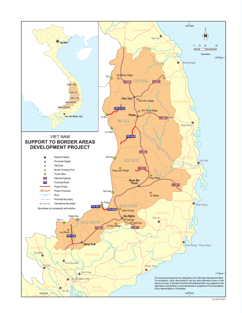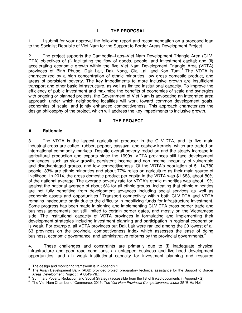# **I. THE PROPOSAL**

1. I submit for your approval the following report and recommendation on a proposed loan to the Socialist Republic of Viet Nam for the Support to Border Areas Development Project.<sup>1</sup>

2. The project supports the Cambodia–Laos–Viet Nam Development Triangle Area (CLV-DTA) objectives of (i) facilitating the flow of goods, people, and investment capital; and (ii) accelerating economic growth within the five Viet Nam Development Triangle Area (VDTA) provinces of Binh Phuoc, Dak Lak, Dak Nong, Gia Lai, and Kon Tum.<sup>2</sup> The VDTA is characterized by a high concentration of ethnic minorities, low gross domestic product, and areas of persistent poverty. The key impediments to more inclusive growth are insufficient transport and other basic infrastructure, as well as limited institutional capacity. To improve the efficiency of public investment and maximize the benefits of economies of scale and synergies with ongoing or planned projects, the Government of Viet Nam is advocating an integrated area approach under which neighboring localities will work toward common development goals, economies of scale, and jointly enhanced competitiveness. This approach characterizes the design philosophy of the project, which will address the key impediments to inclusive growth.

# **II. THE PROJECT**

## **A. Rationale**

 $\overline{a}$ 

3. The VDTA is the largest agricultural producer in the CLV-DTA, and its five main industrial crops are coffee, rubber, pepper, cassava, and cashew kernels, which are traded on international commodity markets. Despite overall poverty reduction and the steady increase in agricultural production and exports since the 1990s, VDTA provinces still face development challenges, such as slow growth, persistent income and non-income inequality of vulnerable and disadvantaged groups, and low competitiveness. Of the VDTA's population of 5,114,780 people, 33% are ethnic minorities and about 77% relies on agriculture as their main source of livelihood. In 2014, the gross domestic product per capita in the VDTA was \$1,683, about 80% of the national average. The average poverty rate for VDTA's ethnic minorities was about 19% against the national average of about 6% for all ethnic groups, indicating that ethnic minorities are not fully benefiting from development advances including social services as well as economic assets and opportunities.<sup>3</sup> Transport connectivity within both CLV-DTA and VDTA remains inadequate partly due to the difficulty in mobilizing funds for infrastructure investment. Some progress has been made in signing and implementing CLV-DTA cross border trade and business agreements but still limited to certain border gates, and mostly on the Vietnamese side. The institutional capacity of VDTA provinces in formulating and implementing their development strategies including investment planning and participation in regional cooperation is weak. For example, all VDTA provinces but Dak Lak were ranked among the 20 lowest of all 63 provinces on the provincial competitiveness index which assesses the ease of doing business, economic governance, and administrative reforms by the provincial governments.<sup>4</sup>

4. These challenges and constraints are primarily due to (i) inadequate physical infrastructure and poor road conditions, (ii) untapped business and livelihood development opportunities, and (iii) weak institutional capacity for investment planning and resource

<sup>1</sup> The design and monitoring framework is in Appendix 1.

<sup>&</sup>lt;sup>2</sup> The Asian Development Bank (ADB) provided project preparatory technical assistance for the Support to Border Areas Development Project (TA 8849-VIE).

<sup>&</sup>lt;sup>3</sup> Summary Poverty Reduction and Social Strategy (accessible from the list of linked documents in Appendix 2).<br><sup>4</sup> The Vist Nem Chamber of Commerce, 2015, The Vist Nem Previseial Competitiveness Index 2015. He Nei

The Viet Nam Chamber of Commerce. 2015. *The Viet Nam Provincial Competitiveness Index 2015*. Ha Noi.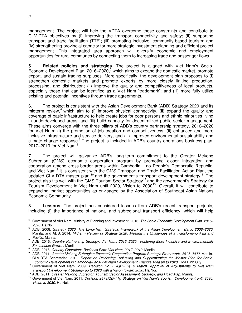management. The project will help the VDTA overcome these constraints and contribute to CLV-DTA objectives by (i) improving the transport connectivity and safety; (ii) supporting transport and trade facilitation (TTF); (iii) promoting inclusive, community-based tourism; and (iv) strengthening provincial capacity for more strategic investment planning and efficient project management. This integrated area approach will diversify economic and employment opportunities for rural communes by connecting them to increasing trade and passenger flows.

5. **Related policies and strategies.** The project is aligned with Viet Nam's Socio-Economic Development Plan, 2016–2020,<sup>5</sup> which aims to expand the domestic market, promote export, and sustain trading surpluses. More specifically, the development plan proposes to (i) strengthen domestic markets and promote exports by more closely linking production, processing, and distribution; (ii) improve the quality and competitiveness of local products, especially those that can be identified as a Viet Nam "trademark"; and (iii) more fully utilize existing and potential incentives through trade agreements.

6. The project is consistent with the Asian Development Bank (ADB) Strategy 2020 and its midterm review,  $6$  which aim to (i) improve physical connectivity, (ii) expand the quality and coverage of basic infrastructure to help create jobs for poor persons and ethnic minorities living in underdeveloped areas, and (iii) build capacity for decentralized public sector management. These aims converge with the three pillars of ADB's country partnership strategy, 2016–2020 for Viet Nam: (i) the promotion of job creation and competitiveness, (ii) enhanced and more inclusive infrastructure and service delivery, and (iii) improved environmental sustainability and climate change response.<sup>7</sup> The project is included in ADB's country operations business plan, 2017–2019 for Viet Nam.<sup>8</sup>

7. The project will galvanize ADB's long-term commitment to the Greater Mekong Subregion (GMS) economic cooperation program by promoting closer integration and cooperation among cross-border areas within Cambodia, Lao People's Democratic Republic, and Viet Nam.<sup>9</sup> It is consistent with the GMS Transport and Trade Facilitation Action Plan, the updated CLV-DTA master plan,<sup>10</sup> and the government's transport development strategy.<sup>11</sup> The project also fits well with the GMS Tourism Sector Strategy<sup>12</sup> and the government's Strategy for Tourism Development in Viet Nam until 2020, Vision to 2030<sup>13</sup>. Overall, it will contribute to expanding market opportunities as envisaged by the Association of Southeast Asian Nations Economic Community.

8. **Lessons**. The project has considered lessons from ADB's recent transport projects, including (i) the importance of national and subregional transport efficiency, which will help

<sup>-&</sup>lt;br>5 Government of Viet Nam, Ministry of Planning and Investment. 2016. *The Socio-Economic Development Plan, 2016– 2020*. Ha Noi.

<sup>6</sup> ADB. 2008. *Strategy 2020: The Long-Term Strategic Framework of the Asian Development Bank, 2008–2020*. Manila; and ADB. 2014. *Midterm Review of Strategy 2020: Meeting the Challenges of a Transforming Asia and Pacific*. Manila.

<sup>7</sup> ADB, 2016. *Country Partnership Strategy: Viet Nam, 2016–2020—Fostering More Inclusive and Environmentally Sustainable Growth*. Manila.

<sup>8</sup> ADB. 2016. *Country Operations Business Plan: Viet Nam, 2017–2019*. Manila.

<sup>9</sup> ADB. 2011. *Greater Mekong Subregion Economic Cooperation Program Strategic Framework, 2012–2022*. Manila. <sup>10</sup> CLV-DTA Secretariat. 2010. *Report on Reviewing, Adjusting and Supplementing the Master Plan for Socio-Economic Development in Cambodia-Laos-Viet Nam Development Triangle Area up to 2020*. Hoa Binh City.

<sup>11</sup> Government of Viet Nam. 2009. *Decision No. 35/QD-TTg. 3 March. Approval of Adjustments to Viet Nam Transport Development Strategy up to 2020 with a Vision toward 2030.* Ha Noi.

<sup>12</sup> ADB. 2011. *Greater Mekong Subregion Tourism Sector Assessment, Strategy, and Road Map*. Manila.

<sup>13</sup> Government of Viet Nam. 2011. *Decision 2473/QĐ-TTg Strategy on Viet Nam's Tourism Development until 2020, Vision to 2030*. Ha Noi.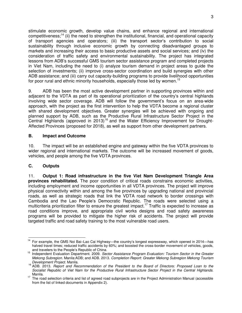stimulate economic growth, develop value chains, and enhance regional and international competitiveness;<sup>14</sup> (ii) the need to strengthen the institutional, financial, and operational capacity of transport agencies and operators; (iii) the transport sector's contribution to social sustainability through inclusive economic growth by connecting disadvantaged groups to markets and increasing their access to basic productive assets and social services; and (iv) the consideration of traffic safety and environmental sustainability. The project has integrated lessons from ADB's successful GMS tourism sector assistance program and completed projects in Viet Nam, including the need to (i) analyze tourism demand in project areas to guide the selection of investments; (ii) improve cross-sector coordination and build synergies with other ADB assistance; and (iii) carry out capacity-building programs to provide livelihood opportunities for poor rural and ethnic minority households, especially those led by women.<sup>15</sup>

9. ADB has been the most active development partner in supporting provinces within and adjacent to the VDTA as part of its operational prioritization of the country's central highlands involving wide sector coverage. ADB will follow the government's focus on an area-wide approach, with the project as the first intervention to help the VDTA become a regional cluster with shared development objectives. Greater synergies will be achieved with ongoing and planned support by ADB, such as the Productive Rural Infrastructure Sector Project in the Central Highlands (approved in 2013)<sup>16</sup> and the Water Efficiency Improvement for Drought-Affected Provinces (proposed for 2018), as well as support from other development partners.

## **B. Impact and Outcome**

10. The impact will be an established engine and gateway within the five VDTA provinces to wider regional and international markets. The outcome will be increased movement of goods, vehicles, and people among the five VDTA provinces.

# **C. Outputs**

11. **Output 1: Road infrastructure in the five Viet Nam Development Triangle Area provinces rehabilitated.** The poor condition of critical roads constrains economic activities, including employment and income opportunities in all VDTA provinces. The project will improve physical connectivity within and among the five provinces by upgrading national and provincial roads, as well as strategic roads that link the VDTA road network to border crossings with Cambodia and the Lao People's Democratic Republic. The roads were selected using a multicriteria prioritization filter to ensure the greatest impact.<sup>17</sup> Traffic is expected to increase as road conditions improve, and appropriate civil works designs and road safety awareness programs will be provided to mitigate the higher risk of accidents. The project will provide targeted traffic and road safety training to the most vulnerable road users.

 $\overline{a}$ <sup>14</sup> For example, the GMS Noi Bai–Lao Cai Highway—the country's longest expressway, which opened in 2014—has halved travel times; reduced traffic accidents by 60%; and boosted the cross-border movement of vehicles, goods, and travelers to the People's Republic of China.

<sup>15</sup> Independent Evaluation Department. 2009. *Sector Assistance Program Evaluation: Tourism Sector in the Greater Mekong Subregion.* Manila:ADB; and ADB. 2013. *Completion Report*: *Greater Mekong Subregion Mekong Tourism Development Project.* Manila.

<sup>16</sup> ADB. 2013. *Report and Recommendation of the President to the Board of Directors: Proposed Loan to the Socialist Republic of Viet Nam for the Productive Rural Infrastructure Sector Project in the Central Highlands.* Manila.

<sup>&</sup>lt;sup>17</sup> The road selection criteria and list of agreed road subprojects are in the Project Administration Manual (accessible from the list of linked documents in Appendix 2).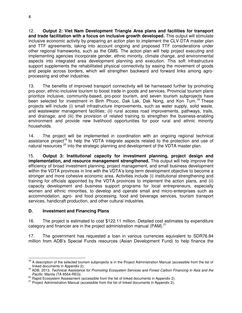12. **Output 2: Viet Nam Development Triangle Area plans and facilities for transport and trade facilitation with a focus on inclusive growth developed.** This output will stimulate inclusive economic activity by preparing an action plan to implement the CLV-DTA master plan and TTF agreements, taking into account ongoing and proposed TTF considerations under other regional frameworks, such as the GMS. The action plan will help project executing and implementing agencies incorporate gender, ethnic minority, climate change, and environmental aspects into integrated area development planning and execution. This soft infrastructure support supplements the rehabilitated physical connectivity by easing the movement of goods and people across borders, which will strengthen backward and forward links among agroprocessing and other industries.

13. The benefits of improved transport connectivity will be harnessed further by promoting pro-poor, ethnic-inclusive tourism to boost trade in goods and services. Provincial tourism plans prioritize inclusive, community-based, pro-poor tourism, and seven tourism subprojects have been selected for investment in Binh Phuoc, Dak Lak, Dak Nong, and Kon Tum.<sup>18</sup> These projects will include (i) small infrastructure improvements, such as water supply, solid waste, and wastewater management facilities; (ii) rural access road improvements, pathways, trails, and drainage; and (iii) the provision of related training to strengthen the business-enabling environment and provide new livelihood opportunities for poor rural and ethnic minority households.

14. The project will be implemented in coordination with an ongoing regional technical assistance project<sup>19</sup> to help the VDTA integrate aspects related to the protection and use of natural resources <sup>20</sup> into the strategic planning and development of the VDTA master plan.

15. **Output 3: Institutional capacity for investment planning, project design and implementation, and resource management strengthened.** This output will help improve the efficiency of broad investment planning, project management, and small business development within the VDTA provinces in line with the VDTA's long-term development objective to become a stronger and more cohesive economic area. Activities include (i) institutional strengthening and training for officials appointed by the VDTA provinces to implement the action plans, and (ii) capacity development and business support programs for local entrepreneurs, especially women and ethnic minorities, to develop and operate small and micro-enterprises such as accommodation, agro- and food processing, food and beverage services, tourism transport services, handicraft production, and other cultural industries.

## **D. Investment and Financing Plans**

16. The project is estimated to cost \$122.11 million. Detailed cost estimates by expenditure category and financier are in the project administration manual (PAM). $21$ 

17. The government has requested a loan in various currencies equivalent to SDR76.84 million from ADB's Special Funds resources (Asian Development Fund) to help finance the

 $\overline{a}$ 

<sup>&</sup>lt;sup>18</sup> A description of the selected tourism subprojects is in the Project Administration Manual (accessible from the list of linked documents in Appendix 2).

<sup>19</sup> ADB. 2013. *Technical Assistance for Promoting Ecosystem Services and Forest Carbon Financing in Asia and the Pacific*. Manila (TA 8564-REG).

<sup>&</sup>lt;sup>20</sup> Rapid Ecosystem Assessment (accessible from the list of linked documents in Appendix 2).

<sup>&</sup>lt;sup>21</sup> Project Administration Manual (accessible from the list of linked documents in Appendix 2).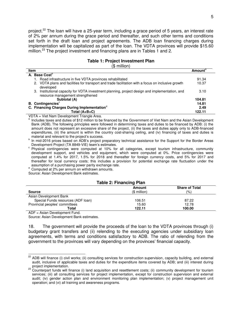project.<sup>22</sup> The loan will have a 25-year term, including a grace period of 5 years, an interest rate of 2% per annum during the grace period and thereafter, and such other terms and conditions set forth in the draft loan and project agreements. The ADB loan financing charges during implementation will be capitalized as part of the loan. The VDTA provinces will provide \$15.60 million.<sup>23</sup> The project investment and financing plans are in Tables 1 and 2.

#### **Table 1: Project Investment Plan**

(\$ million)

| <b>Item</b> |                                                                                                                                       | <b>Amount</b> <sup>a</sup> |
|-------------|---------------------------------------------------------------------------------------------------------------------------------------|----------------------------|
|             | A. Base Cost <sup>b</sup>                                                                                                             |                            |
|             | 1. Road infrastructure in five VDTA provinces rehabilitated                                                                           | 91.34                      |
|             | 2. VDTA plans and facilities for transport and trade facilitation with a focus on inclusive growth<br>developed                       | 10.37                      |
|             | Institutional capacity for VDTA investment planning, project design and implementation, and<br>3.<br>resource management strengthened | 3.10                       |
|             | Subtotal (A)                                                                                                                          | 104.81                     |
|             | <b>B.</b> Contingencies <sup>c</sup>                                                                                                  | 14.81                      |
|             | C. Financing Charges During Implementation <sup>d</sup>                                                                               | 2.49                       |
|             | Total $(A+B+C)$                                                                                                                       | 122.11                     |

VDTA = Viet Nam Development Triangle Area.

<sup>a</sup> Includes taxes and duties of \$12 million to be financed by the Government of Viet Nam and the Asian Development Bank (ADB). The following principles were followed in determining taxes and duties to be financed by ADB: (i) the amount does not represent an excessive share of the project, (ii) the taxes and duties apply only to ADB-financed expenditures, (iii) the amount is within the country cost-sharing ceiling, and (iv) financing of taxes and duties is material and relevant to the project's success.

<sup>b</sup> In mid-2016 prices based on ADB's project preparatory technical assistance for the Support for the Border Areas Development Project (TA 8849-VIE) team's estimates.

<sup>c</sup> Physical contingencies were computed at 10% for all categories, except tourism infrastructure, community development support, and vehicles and equipment, which were computed at 0%. Price contingencies were computed at 1.4% for 2017, 1.5% for 2018 and thereafter for foreign currency costs, and 5% for 2017 and thereafter for local currency costs; this includes a provision for potential exchange rate fluctuation under the assumption of a purchasing power parity exchange rate.

<sup>d</sup> Computed at 2% per annum on withdrawn amounts.

Source: Asian Development Bank estimates.

#### **Table 2: Financing Plan**

| Amount       | <b>Share of Total</b> |
|--------------|-----------------------|
| $$$ million) | (%)                   |
|              |                       |
| 106.51       | 87.22                 |
| 15.60        | 12.78                 |
| 122.11       | 100.00                |
|              |                       |

ADF = Asian Development Fund.

 $\overline{a}$ 

Source: Asian Development Bank estimates.

18. The government will provide the proceeds of the loan to the VDTA provinces through (i) budgetary grant transfers and (ii) relending to the executing agencies under subsidiary loan agreements, with terms and conditions satisfactory to ADB. The ratio of relending from the government to the provinces will vary depending on the provinces' financial capacity.

<sup>&</sup>lt;sup>22</sup> ADB will finance (i) civil works; (ii) consulting services for construction supervision, capacity building, and external audit, inclusive of applicable taxes and duties for the expenditure items covered by ADB; and (iii) interest during project implementation.

<sup>&</sup>lt;sup>23</sup> Counterpart funds will finance (i) land acquisition and resettlement costs; (ii) community development for tourism services; (iii) all consulting services for project implementation, except for construction supervision and external audit; (iv) gender action plan and environment monitoring plan implementation; (v) project management unit operation; and (vi) all training and awareness programs.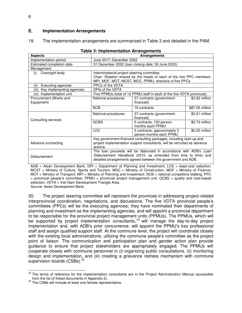## **E. Implementation Arrangements**

19. The implementation arrangements are summarized in Table 3 and detailed in the PAM.

| <b>Aspects</b>                     |                                                                                      | <b>Arrangements</b>                                                    |                 |  |
|------------------------------------|--------------------------------------------------------------------------------------|------------------------------------------------------------------------|-----------------|--|
| Implementation period              |                                                                                      | June 2017-December 2022                                                |                 |  |
| Estimated completion date          |                                                                                      | 31 December 2022 (loan closing date: 30 June 2023)                     |                 |  |
| Management                         |                                                                                      |                                                                        |                 |  |
| Oversight body<br>(i)              | Interministerial project steering committee.                                         |                                                                        |                 |  |
|                                    |                                                                                      | Chair: Rotation shared by the heads of each of the five PPC members:   |                 |  |
|                                    |                                                                                      | MPI, MOF, MOT, MCST, MOC, PPMU, directors of five PPCs                 |                 |  |
| <b>Executing agencies</b><br>(ii)  | PPCs of the VDTA                                                                     |                                                                        |                 |  |
| Key implementing agencies<br>(iii) | DPIs of the VDTA                                                                     |                                                                        |                 |  |
| (iv) Implementation unit           |                                                                                      | Five PPMUs (total of 12 PPMU staff in each of the five VDTA provinces) |                 |  |
| Procurement (Works and             | National procedures                                                                  | 37 contracts (government-                                              | \$2.82 million  |  |
| Equipment)                         |                                                                                      | financed)                                                              |                 |  |
|                                    | <b>NCB</b>                                                                           | 16 contracts                                                           | \$87.05 million |  |
|                                    | National procedures                                                                  | 37 contracts (government-                                              | \$5.51 million  |  |
| Consulting services                |                                                                                      | financed)                                                              |                 |  |
|                                    | <b>QCBS</b>                                                                          | 5 contracts, 150 person-<br>months each PPMU                           | \$0.73 million  |  |
|                                    | <b>LCS</b>                                                                           | 5 contracts, approximately 5<br>person-months each PPMU                | \$0.25 million  |  |
|                                    |                                                                                      | Key government-financed consulting packages, including start-up and    |                 |  |
| Advance contracting                |                                                                                      |                                                                        |                 |  |
|                                    | project implementation support consultants, will be recruited as advance<br>actions. |                                                                        |                 |  |
|                                    | The loan proceeds will be disbursed in accordance with ADB's Loan                    |                                                                        |                 |  |
|                                    |                                                                                      | Disbursement Handbook (2015, as amended from time to time) and         |                 |  |
| <b>Disbursement</b>                |                                                                                      | detailed arrangements agreed between the government and ADB.           |                 |  |
|                                    |                                                                                      |                                                                        |                 |  |

#### **Table 3: Implementation Arrangements**

ADB = Asian Development Bank; DPI = Department of Planning and Investment; LCS = least-cost selection; MCST = Ministry of Culture, Sports and Tourism; MOC = Ministry of Construction; MOF = Ministry of Finance; MOT = Ministry of Transport; MPI = Ministry of Planning and Investment; NCB = national competitive bidding; PPC  $=$  provincial people's committee; PPMU  $=$  provincial project management unit; QCBS  $=$  quality and cost-based selection; VDTA = Viet Nam Development Triangle Area.

Source: Asian Development Bank.

20. The project steering committee will represent the provinces in addressing project-related interprovincial coordination, negotiations, and discussions. The five VDTA provincial people's committees (PPCs) will be the executing agencies; they have nominated their departments of planning and investment as the implementing agencies, and will appoint a provincial department to be responsible for the provincial project management units (PPMUs). The PPMUs, which will be supported by project implementation consultants,  $24$  will manage the day-to-day project implementation and, with ADB's prior concurrence, will appoint the PPMU's key professional staff and assign qualified support staff. At the commune level, the project will coordinate closely with the existing local administrations, utilizing the commune people's committee as the project point of liaison. The communication and participation plan and gender action plan provide guidance to ensure that project stakeholders are appropriately engaged. The PPMUs will cooperate closely with commune personnel in (i) organizing public consultations, (ii) monitoring design and implementation, and (iii) creating a grievance redress mechanism with commune supervision boards (CSBs).<sup>25</sup>

 $\overline{a}$ <sup>24</sup> The terms of reference for the implementation consultants are in the Project Administration Manual (accessible from the list of linked documents in Appendix 2).

<sup>&</sup>lt;sup>25</sup> The CSBs will include at least one female representative.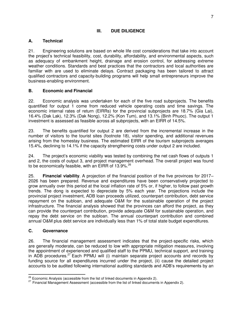# **III. DUE DILIGENCE**

# **A. Technical**

21. Engineering solutions are based on whole life cost considerations that take into account the project's technical feasibility, cost, durability, affordability, and environmental aspects, such as adequacy of embankment height, drainage and erosion control, for addressing extreme weather conditions. Standards and best practices that the contractors and local authorities are familiar with are used to eliminate delays. Contract packaging has been tailored to attract qualified contractors and capacity-building programs will help small entrepreneurs improve the business-enabling environment.

# **B. Economic and Financial**

22. Economic analysis was undertaken for each of the five road subprojects. The benefits quantified for output 1 come from reduced vehicle operating costs and time savings. The economic internal rates of return (EIRRs) for the provincial subprojects are 18.7% (Gia Lai), 16.4% (Dak Lak), 12.3% (Dak Nong), 12.2% (Kon Tum), and 13.1% (Binh Phuoc). The output 1 investment is assessed as feasible across all subprojects, with an EIRR of 14.5%.

23. The benefits quantified for output 2 are derived from the incremental increase in the number of visitors to the tourist sites (footnote 18), visitor spending, and additional revenues arising from the homestay business. The estimated EIRR of the tourism subprojects averages 15.4%, declining to 14.1% if the capacity strengthening costs under output 2 are included.

24. The project's economic viability was tested by combining the net cash flows of outputs 1 and 2, the costs of output 3, and project management overhead. The overall project was found to be economically feasible, with an EIRR of 13.9%.<sup>26</sup>

25. **Financial viability**. A projection of the financial position of the five provinces for 2017– 2026 has been prepared. Revenue and expenditures have been conservatively projected to grow annually over this period at the local inflation rate of 5% or, if higher, to follow past growth trends. The dong is expected to depreciate by 5% each year. The projections include the provincial project investment, ADB loan proceeds utilized, counterpart contribution, debt service repayment on the subloan, and adequate O&M for the sustainable operation of the project infrastructure. The financial analysis showed that the provinces can afford the project, as they can provide the counterpart contribution, provide adequate O&M for sustainable operation, and repay the debt service on the subloan. The annual counterpart contribution and combined annual O&M plus debt service are individually less than 1% of total state budget expenditures.

## **C. Governance**

j

26. The financial management assessment indicates that the project-specific risks, which are generally moderate, can be reduced to low with appropriate mitigation measures, involving the appointment of experienced and qualified staff to the PPMU, technical support, and training in ADB procedures.<sup>27</sup> Each PPMU will (i) maintain separate project accounts and records by funding source for all expenditures incurred under the project, (ii) cause the detailed project accounts to be audited following international auditing standards and ADB's requirements by an

 $26$  Economic Analysis (accessible from the list of linked documents in Appendix 2).

 $27$  Financial Management Assessment (accessible from the list of linked documents in Appendix 2).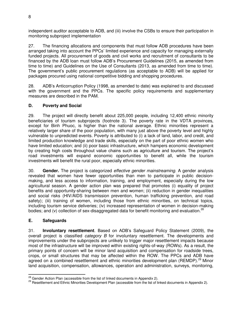independent auditor acceptable to ADB, and (iii) involve the CSBs to ensure their participation in monitoring subproject implementation

27. The financing allocations and components that must follow ADB procedures have been arranged taking into account the PPCs' limited experience and capacity for managing externally funded projects. All procurement of goods and civil works and recruitment of consultants to be financed by the ADB loan must follow ADB's Procurement Guidelines (2015, as amended from time to time) and Guidelines on the Use of Consultants (2013, as amended from time to time). The government's public procurement regulations (as acceptable to ADB) will be applied for packages procured using national competitive bidding and shopping procedures.

28. ADB's Anticorruption Policy (1998, as amended to date) was explained to and discussed with the government and the PPCs. The specific policy requirements and supplementary measures are described in the PAM.

# **D. Poverty and Social**

29. The project will directly benefit about 225,000 people, including 12,400 ethnic minority beneficiaries of tourism subprojects (footnote 3). The poverty rate in the VDTA provinces, except for Binh Phuoc, is higher than the national average. Ethnic minorities represent a relatively larger share of the poor population, with many just above the poverty level and highly vulnerable to unpredicted events. Poverty is attributed to (i) a lack of land, labor, and credit, and limited production knowledge and trade skills, especially on the part of poor ethnic women who have limited education; and (ii) poor basic infrastructure, which hampers economic development by creating high costs throughout value chains such as agriculture and tourism. The project's road investments will expand economic opportunities to benefit all, while the tourism investments will benefit the rural poor, especially ethnic minorities.

30. **Gender.** The project is categorized *effective gender mainstreaming*. A gender analysis revealed that women have fewer opportunities than men to participate in public decisionmaking, and less access to information, training, and employment, especially during the low agricultural season. A gender action plan was prepared that promotes (i) equality of project benefits and opportunity-sharing between men and women; (ii) reduction in gender inequalities and social risks (HIV/AIDS transmission prevention, human trafficking prevention, and road safety); (iii) training of women, including those from ethnic minorities, on technical topics, including tourism service deliveries; (iv) increased representation of women in decision-making bodies; and (v) collection of sex-disaggregated data for benefit monitoring and evaluation.<sup>28</sup>

# **E. Safeguards**

31. **Involuntary resettlement**. Based on ADB's Safeguard Policy Statement (2009), the overall project is classified *category B* for involuntary resettlement. The developments and improvements under the subprojects are unlikely to trigger major resettlement impacts because most of the infrastructure will be improved within existing rights-of-way (ROWs). As a result, the primary points of concern will be minor land acquisition and compensation for roadside trees, crops, or small structures that may be affected within the ROW. The PPCs and ADB have agreed on a combined resettlement and ethnic minorities development plan (REMDP).<sup>29</sup> Minor land acquisition, compensation, allowances, operation and administration, surveys, monitoring,

j  $28 \text{$  Gender Action Plan (accessible from the list of linked documents in Appendix 2).

<sup>&</sup>lt;sup>29</sup> Resettlement and Ethnic Minorities Development Plan (accessible from the list of linked documents in Appendix 2).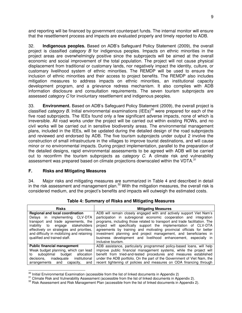and reporting will be financed by government counterpart funds. The internal monitor will ensure that the resettlement process and impacts are evaluated properly and timely reported to ADB.

32. **Indigenous peoples.** Based on ADB's Safeguard Policy Statement (2009), the overall project is classified *category B* for indigenous peoples. Impacts on ethnic minorities in the project areas are overwhelmingly positive since the subprojects will be aimed at the overall economic and social improvement of the total population. The project will not cause physical displacement from traditional or customary lands, nor negatively impact the identity, culture, or customary livelihood system of ethnic minorities. The REMDP will be used to ensure the inclusion of ethnic minorities and their access to project benefits. The REMDP also includes mitigation measures to address impacts on ethnic minorities, an institutional capacity development program, and a grievance redress mechanism. It also complies with ADB information disclosure and consultation requirements. The seven tourism subprojects are assessed *category C* for involuntary resettlement and indigenous peoples.

33. **Environment.** Based on ADB's Safeguard Policy Statement (2009), the overall project is classified *category B*. Initial environmental examinations (IEEs)<sup>30</sup> were prepared for each of the five road subprojects. The IEEs found only a few significant adverse impacts, none of which is irreversible. All road works under the project will be carried out within existing ROWs, and no civil works will be carried out in sensitive biodiversity areas. The environmental management plans, included in the IEEs, will be updated during the detailed design of the road subprojects and reviewed and endorsed by ADB. The five tourism subprojects under output 2 involve the construction of small infrastructure in the villages to improve tourist destinations, and will cause minor or no environmental impacts. During project implementation, parallel to the preparation of the detailed designs, rapid environmental assessments to be agreed with ADB will be carried out to reconfirm the tourism subprojects as *category C*. A climate risk and vulnerability assessment was prepared based on climate projections downscaled within the VDTA.<sup>31</sup>

## **F. Risks and Mitigating Measures**

34. Major risks and mitigating measures are summarized in Table 4 and described in detail in the risk assessment and management plan.<sup>32</sup> With the mitigation measures, the overall risk is considered medium, and the project's benefits and impacts will outweigh the estimated costs.

| <b>Risks</b>                                                                                                                                                                                                                                     | <b>Mitigating Measures</b>                                                                                                                                                                                                                                                                                                                                                                                                                              |
|--------------------------------------------------------------------------------------------------------------------------------------------------------------------------------------------------------------------------------------------------|---------------------------------------------------------------------------------------------------------------------------------------------------------------------------------------------------------------------------------------------------------------------------------------------------------------------------------------------------------------------------------------------------------------------------------------------------------|
| <b>Regional and local coordination</b>                                                                                                                                                                                                           | ADB will remain closely engaged with and actively support Viet Nam's                                                                                                                                                                                                                                                                                                                                                                                    |
| in implementing CLV-DTA<br>Delavs<br>transport and trade agreements, the<br>stakeholders<br>inability<br>to<br>engage<br>effectively on strategies and priorities,<br>and difficulty in mobilizing and retaining<br>qualified and trained staff. | participation in subregional economic cooperation and integration<br>programs, including those related to transport and trade facilitation. The<br>project will specifically support the implementation of CLV-DTA<br>agreements by training and motivating provincial officials for better<br>investment planning and project management, and beneficiaries in<br>business development and livelihood enhancement, especially in<br>inclusive tourism. |
| <b>Public financial management</b>                                                                                                                                                                                                               | ADB assistance, particularly programmed policy-based loans, will help                                                                                                                                                                                                                                                                                                                                                                                   |
| Weak budget planning, which can lead<br>suboptimal<br>budget<br>allocation<br>to<br>decisions.<br>inadequate institutional<br>arrangements<br>capacity.<br>and<br>and                                                                            | improve public financial management systems, while the project will<br>benefit from tried-and-tested procedures and measures established<br>under the ADB portfolio. On the part of the Government of Viet Nam, the<br>recent tightening of policies and measures on ODA financing through                                                                                                                                                              |

**Table 4: Summary of Risks and Mitigating Measures** 

 $\overline{a}$  $\frac{30}{10}$  Initial Environmental Examination (accessible from the list of linked documents in Appendix 2)

<sup>&</sup>lt;sup>31</sup> Climate Risk and Vulnerability Assessment (accessible from the list of linked documents in Appendix 2).

<sup>&</sup>lt;sup>32</sup> Risk Assessment and Risk Management Plan (accessible from the list of linked documents in Appendix 2).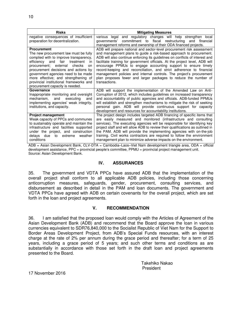| <b>Risks</b>                                                                                                                                                                                                                                                                                                                                                                                      | <b>Mitigating Measures</b>                                                                                                                                                                                                                                                                                                                                                                                                                                                                                                                                                                                         |
|---------------------------------------------------------------------------------------------------------------------------------------------------------------------------------------------------------------------------------------------------------------------------------------------------------------------------------------------------------------------------------------------------|--------------------------------------------------------------------------------------------------------------------------------------------------------------------------------------------------------------------------------------------------------------------------------------------------------------------------------------------------------------------------------------------------------------------------------------------------------------------------------------------------------------------------------------------------------------------------------------------------------------------|
| negative consequences of insufficient                                                                                                                                                                                                                                                                                                                                                             | and regulatory changes will help strengthen local<br>various legal                                                                                                                                                                                                                                                                                                                                                                                                                                                                                                                                                 |
| preparation for decentralization.                                                                                                                                                                                                                                                                                                                                                                 | commitment to fiscal restructuring<br>aovernments'<br>and financial<br>management reforms and ownership of their ODA financed projects.                                                                                                                                                                                                                                                                                                                                                                                                                                                                            |
| <b>Procurement</b><br>The new procurement law must be fully<br>complied with to improve transparency,<br>efficiency and<br>fair<br>treatment<br>-in<br>checks<br>procurement; external<br>on<br>procurement decisions and actions by<br>government agencies need to be made<br>more effective; and strengthening of<br>provincial institutional frameworks and<br>procurement capacity is needed. | ADB will prepare national and sector-level procurement risk assessment<br>and management plans to guide a risk-based approach to procurement.<br>ADB will also continue enforcing its guidelines on conflicts of interest and<br>facilitate training for government officials. At the project level, ADB will<br>encourage PPMUs to engage accounting support to ensure timely<br>record-keeping and reconciliation, and strict adherence to financial<br>management policies and internal controls. The project's procurement<br>plan proposes fewer and larger packages to reduce the number of<br>transactions. |
| Governance<br>Inappropriate monitoring and oversight<br>mechanism,<br>and<br>executing<br>and<br>implementing agencies' weak integrity,<br>institutions, and capacity.                                                                                                                                                                                                                            | ADB will support the implementation of the Amended Law on Anti-<br>Corruption of 2012, which includes guidelines on increased transparency<br>and accountability of public agencies and officials. ADB-funded PPMUs<br>will establish and strengthen mechanisms to mitigate the risk of seeking<br>personal gain. ADB will provide continuous support for capacity<br>development and resources for accountability institutions.                                                                                                                                                                                   |
| <b>Project management</b><br>Weak capacity of PPCs and communes<br>to sustainably operate and maintain the<br>infrastructure and facilities supported<br>under the project, and construction<br>due<br>delays<br>to<br>extreme<br>weather<br>conditions                                                                                                                                           | The project design includes targeted ADB financing of specific items that<br>are easily measured and monitored (infrastructure and consulting<br>services). The executing agencies will be responsible for identifying key<br>project staff and will allow ADB to review their qualifications as outlined in<br>the PAM. ADB will provide the implementing agencies with on-the-job<br>training. Civil works contractors are required to follow the environment<br>management plan to minimize adverse impacts on the environment.                                                                                 |

ADB = Asian Development Bank, CLV-DTA = Cambodia–Laos–Viet Nam development triangle area, ODA = official development assistance, PPC = provincial people's committee, PPMU = provincial project management unit. Source: Asian Development Bank.

## **IV. ASSURANCES**

35. The government and VDTA PPCs have assured ADB that the implementation of the overall project shall conform to all applicable ADB policies, including those concerning anticorruption measures, safeguards, gender, procurement, consulting services, and disbursement as described in detail in the PAM and loan documents. The government and VDTA PPCs have agreed with ADB on certain covenants for the overall project, which are set forth in the loan and project agreements.

#### **V. RECOMMENDATION**

36. I am satisfied that the proposed loan would comply with the Articles of Agreement of the Asian Development Bank (ADB) and recommend that the Board approve the loan in various currencies equivalent to SDR76,840,000 to the Socialist Republic of Viet Nam for the Support to Border Areas Development Project, from ADB's Special Funds resources, with an interest charge at the rate of 2% per annum during the grace period and thereafter; for a term of 25 years, including a grace period of 5 years; and such other terms and conditions as are substantially in accordance with those set forth in the draft loan and project agreements presented to the Board.

> Takehiko Nakao President

17 November 2016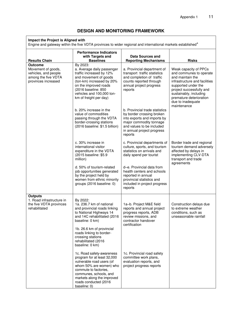# **DESIGN AND MONITORING FRAMEWORK**

#### **Impact the Project is Aligned with**

Engine and gateway within the five VDTA provinces to wider regional and international markets established<sup>a</sup>

| <b>Results Chain</b>                                                                                       | <b>Performance Indicators</b><br>with Targets and<br><b>Baselines</b>                                                                                                                                                                                                     | <b>Data Sources and</b><br><b>Reporting Mechanisms</b>                                                                                                                                      | <b>Risks</b>                                                                                                                                                                                                                                      |
|------------------------------------------------------------------------------------------------------------|---------------------------------------------------------------------------------------------------------------------------------------------------------------------------------------------------------------------------------------------------------------------------|---------------------------------------------------------------------------------------------------------------------------------------------------------------------------------------------|---------------------------------------------------------------------------------------------------------------------------------------------------------------------------------------------------------------------------------------------------|
| <b>Outcome</b><br>Movement of goods,<br>vehicles, and people<br>among the five VDTA<br>provinces increased | By 2023:<br>a. Average daily passenger<br>traffic increased by 12%<br>and movement of goods<br>(ton-km) increased by 20%<br>on the improved roads<br>(2016 baseline: 850<br>vehicles and 100,000 ton-<br>km of freight per day)                                           | a. Provincial department of<br>transport traffic statistics<br>and completion of traffic<br>counts reported through<br>annual project progress<br>reports                                   | Weak capacity of PPCs<br>and communes to operate<br>and maintain the<br>infrastructure and facilities<br>supported under the<br>project successfully and<br>sustainably, including<br>premature deterioration<br>due to inadequate<br>maintenance |
|                                                                                                            | b. 20% increase in the<br>value of commodities<br>passing through the VDTA<br>border-crossing stations<br>(2016 baseline: \$1.5 billion)                                                                                                                                  | b. Provincial trade statistics<br>by border crossing broken<br>into exports and imports by<br>major commodity tonnage<br>and values to be included<br>in annual project progress<br>reports |                                                                                                                                                                                                                                                   |
|                                                                                                            | c. 30% increase in<br>international visitor<br>expenditure in the VDTA<br>(2015 baseline: \$5.9<br>million)                                                                                                                                                               | c. Provincial departments of<br>culture, sports, and tourism<br>statistics on arrivals and<br>daily spend per tourist                                                                       | Border trade and regional<br>tourism demand adversely<br>affected by delays in<br>implementing CLV-DTA<br>transport and trade<br>agreements                                                                                                       |
|                                                                                                            | d. 50% of tourism-related<br>job opportunities generated<br>by the project held by<br>women from ethnic minority<br>groups (2016 baseline: 0)                                                                                                                             | d-e. Provincial data from<br>health centers and schools<br>reported in annual<br>provincial statistics and<br>included in project progress<br>reports                                       |                                                                                                                                                                                                                                                   |
| <b>Outputs</b><br>1. Road infrastructure in<br>the five VDTA provinces<br>rehabilitated                    | By 2022:<br>1a. 236.7 km of national<br>and provincial roads linking<br>to National Highways 14<br>and 14C rehabilitated (2016<br>baseline: 0 km)<br>1b. 26.6 km of provincial<br>roads linking to border-<br>crossing stations<br>rehabilitated (2016<br>baseline: 0 km) | 1a-b. Project M&E field<br>reports and annual project<br>progress reports, ADB<br>review missions, and<br>contractor handover<br>certification                                              | Construction delays due<br>to extreme weather<br>conditions, such as<br>unseasonable rainfall                                                                                                                                                     |
|                                                                                                            | 1c. Road safety-awareness<br>program for at least 32,000<br>vulnerable road users (of<br>whom 50% are women) who<br>commute to factories,<br>communes, schools, and<br>markets along the improved<br>roads conducted (2016<br>baseline: 0)                                | 1c. Provincial road safety<br>committee work plans,<br>evaluation reports, and<br>project progress reports                                                                                  |                                                                                                                                                                                                                                                   |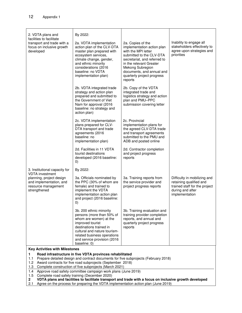| 2. VDTA plans and                                                                                                                                               | By 2022:                                                                                                                                                                                                                                    |                                                                                                                                                                                                                                                         |                                                                                                                                |
|-----------------------------------------------------------------------------------------------------------------------------------------------------------------|---------------------------------------------------------------------------------------------------------------------------------------------------------------------------------------------------------------------------------------------|---------------------------------------------------------------------------------------------------------------------------------------------------------------------------------------------------------------------------------------------------------|--------------------------------------------------------------------------------------------------------------------------------|
| facilities to facilitate<br>transport and trade with a<br>focus on inclusive growth<br>developed                                                                | 2a. VDTA implementation<br>action plan of the CLV-DTA<br>master plan prepared with<br>ecosystem services,<br>climate change, gender,<br>and ethnic minority<br>considerations (2016<br>baseline: no VDTA<br>implementation plan)            | 2a. Copies of the<br>implementation action plan<br>with the MPI letter<br>submitted to the CLV-DTA<br>secretariat, and referred to<br>in the relevant Greater<br>Mekong Subregion<br>documents, and annual and<br>quarterly project progress<br>reports | Inability to engage all<br>stakeholders effectively to<br>agree upon strategies and<br>priorities                              |
|                                                                                                                                                                 | 2b. VDTA integrated trade<br>strategy and action plan<br>prepared and submitted to<br>the Government of Viet<br>Nam for approval (2016<br>baseline: no strategy and<br>action plan)                                                         | 2b. Copy of the VDTA<br>integrated trade and<br>logistics strategy and action<br>plan and PMU-PPC<br>submission covering letter                                                                                                                         |                                                                                                                                |
|                                                                                                                                                                 | 2c. VDTA implementation<br>plans prepared for CLV-<br>DTA transport and trade<br>agreements (2016<br>baseline: no<br>implementation plan)                                                                                                   | 2c. Provincial<br>implementation plans for<br>the agreed CLV-DTA trade<br>and transport agreements<br>submitted to the PMU and<br>ADB and posted online                                                                                                 |                                                                                                                                |
|                                                                                                                                                                 | 2d. Facilities in 11 VDTA<br>tourist destinations<br>developed (2016 baseline:<br>$\left( 0\right)$                                                                                                                                         | 2d. Contractor completion<br>and project progress<br>reports                                                                                                                                                                                            |                                                                                                                                |
| 3. Institutional capacity for                                                                                                                                   | By 2022:                                                                                                                                                                                                                                    |                                                                                                                                                                                                                                                         |                                                                                                                                |
| <b>VDTA</b> investment<br>planning, project design<br>and implementation, and<br>resource management<br>strengthened                                            | 3a. Officials nominated by<br>the PPC (30% of whom are<br>female) and trained to<br>implement the VDTA<br>implementation action plan<br>and project (2016 baseline:<br>$\left( 0\right)$                                                    | 3a. Training reports from<br>the service provider and<br>project progress reports                                                                                                                                                                       | Difficulty in mobilizing and<br>retaining qualified and<br>trained staff for the project<br>during and after<br>implementation |
|                                                                                                                                                                 | 3b. 200 ethnic minority<br>persons (more than 50% of<br>whom are women) at the<br>improved tourist<br>destinations trained in<br>cultural and nature tourism-<br>related business operations<br>and service provision (2016<br>baseline: 0) | 3b. Training evaluation and<br>training provider completion<br>reports, and annual and<br>quarterly project progress<br>reports                                                                                                                         |                                                                                                                                |
| <b>Key Activities with Milestones</b>                                                                                                                           |                                                                                                                                                                                                                                             |                                                                                                                                                                                                                                                         |                                                                                                                                |
| 1.                                                                                                                                                              | Road infrastructure in five VDTA provinces rehabilitated                                                                                                                                                                                    |                                                                                                                                                                                                                                                         |                                                                                                                                |
| Prepare detailed design and contract documents for five subprojects (February 2018)<br>1.1<br>Award contracts for five road subprojects (September 2018)<br>1.2 |                                                                                                                                                                                                                                             |                                                                                                                                                                                                                                                         |                                                                                                                                |
| Complete construction of five subprojects (March 2021)<br>1.3                                                                                                   |                                                                                                                                                                                                                                             |                                                                                                                                                                                                                                                         |                                                                                                                                |
| Approve road safety committee campaign work plans (June 2019)<br>1.4                                                                                            |                                                                                                                                                                                                                                             |                                                                                                                                                                                                                                                         |                                                                                                                                |

1.5 Complete road safety training (December 2020)

**2 VDTA plans and facilities to facilitate transport and trade with a focus on inclusive growth developed** 

2.1 Agree on the process for preparing the VDTA implementation action plan (June 2019)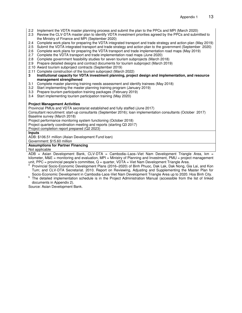- 2.2 Implement the VDTA master planning process and submit the plan to the PPCs and MPI (March 2020)
- 2.3 Review the CLV-DTA master plan to identify VDTA investment priorities agreed by the PPCs and submitted to the Ministry of Finance and MPI (September 2020)
- 2.4 Complete work plans for preparing the VDTA integrated transport and trade strategy and action plan (May 2019)
- 2.5 Submit the VDTA integrated transport and trade strategy and action plan to the government (September 2020)
- 2.6 Complete work plans for preparing the VDTA transport and trade implementation road maps (May 2019)
- 2.7 Complete the VDTA transport and trade implementation road maps (June 2020)
- 2.8 Complete government feasibility studies for seven tourism subprojects (March 2018)
- 2.9 Prepare detailed designs and contract documents for tourism subproject (March 2019)
- 2.10 Award tourism subproject contracts (September 2019)
- 2.11 Complete construction of the tourism subproject (March 2022)
- **3 Institutional capacity for VDTA investment planning, project design and implementation, and resource management strengthened**
- 3.1 Complete master planning training needs assessment and identify trainees (May 2018)
- 3.2 Start implementing the master planning training program (January 2019)
- 3.3 Prepare tourism participation training packages (February 2019)
- 3.4 Start implementing tourism participation training (May 2020)

#### **Project Management Activities**

Provincial PMUs and VDTA secretariat established and fully staffed (June 2017)

Consultant recruitment: start-up consultants (September 2016); loan implementation consultants (October 2017) Baseline survey (March 2018)

Project performance monitoring system functioning (October 2018)

Project quarterly coordination meeting and reports (starting Q3 2017)

Project completion report prepared (Q2 2023)

**Inputs** 

ADB: \$106.51 million (Asian Development Fund loan)

Government: \$15.60 million

#### **Assumptions for Partner Financing**

Not applicable

ADB = Asian Development Bank, CLV-DTA = Cambodia–Laos–Viet Nam Development Triangle Area, km = kilometer, M&E = monitoring and evaluation, MPI = Ministry of Planning and Investment, PMU = project management unit, PPC = provincial people's committee,  $Q =$  quarter, VDTA = Viet Nam Development Triangle Area.

a Provincial Socio-Economic Development Plans (2016–2020) of Binh Phuoc, Dak Lak, Dak Nong, Gia Lai, and Kon Tum; and CLV-DTA Secretariat. 2010. Report on Reviewing, Adjusting and Supplementing the Master Plan for Socio-Economic Development in Cambodia-Laos-Viet Nam Development Triangle Area up to 2020. Hoa Binh City.

<sup>b</sup> The detailed implementation schedule is in the Project Administration Manual (accessible from the list of linked documents in Appendix 2).

Source: Asian Development Bank.